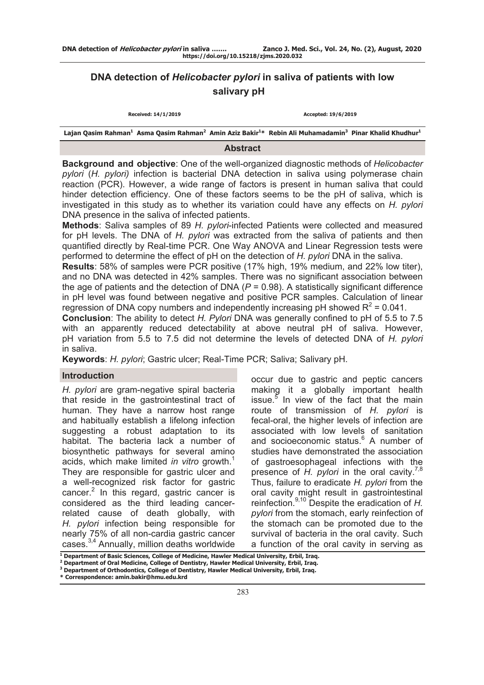# **DNA detection of** *Helicobacter pylori* **in saliva of patients with low salivary pH**

| Received: 14/1/2019                                                                                                                                                |  | Accepted: 19/6/2019 |  |  |
|--------------------------------------------------------------------------------------------------------------------------------------------------------------------|--|---------------------|--|--|
| Lajan Qasim Rahman <sup>1</sup> Asma Qasim Rahman <sup>2</sup> Amin Aziz Bakir <sup>1</sup> * Rebin Ali Muhamadamin <sup>3</sup> Pinar Khalid Khudhur <sup>1</sup> |  |                     |  |  |

# **Abstract**

**Background and objective**: One of the well-organized diagnostic methods of *Helicobacter pylori* (*H. pylori)* infection is bacterial DNA detection in saliva using polymerase chain reaction (PCR). However, a wide range of factors is present in human saliva that could hinder detection efficiency. One of these factors seems to be the pH of saliva, which is investigated in this study as to whether its variation could have any effects on *H. pylori* DNA presence in the saliva of infected patients.

**Methods**: Saliva samples of 89 *H. pylori*-infected Patients were collected and measured for pH levels. The DNA of *H. pylori* was extracted from the saliva of patients and then quantified directly by Real-time PCR. One Way ANOVA and Linear Regression tests were performed to determine the effect of pH on the detection of *H. pylori* DNA in the saliva.

**Results**: 58% of samples were PCR positive (17% high, 19% medium, and 22% low titer), and no DNA was detected in 42% samples. There was no significant association between the age of patients and the detection of DNA  $(P = 0.98)$ . A statistically significant difference in pH level was found between negative and positive PCR samples. Calculation of linear regression of DNA copy numbers and independently increasing pH showed  $R^2$  = 0.041.

**Conclusion**: The ability to detect *H. Pylori* DNA was generally confined to pH of 5.5 to 7.5 with an apparently reduced detectability at above neutral pH of saliva. However, pH variation from 5.5 to 7.5 did not determine the levels of detected DNA of *H. pylori*  in saliva.

**Keywords**: *H. pylori*; Gastric ulcer; Real-Time PCR; Saliva; Salivary pH.

# **Introduction**

*H. pylori* are gram-negative spiral bacteria that reside in the gastrointestinal tract of human. They have a narrow host range and habitually establish a lifelong infection suggesting a robust adaptation to its habitat. The bacteria lack a number of biosynthetic pathways for several amino acids, which make limited *in vitro* growth.<sup>1</sup> They are responsible for gastric ulcer and a well-recognized risk factor for gastric cancer.<sup>2</sup> In this regard, gastric cancer is considered as the third leading cancerrelated cause of death globally, with *H. pylori* infection being responsible for nearly 75% of all non-cardia gastric cancer cases.3,4 Annually, million deaths worldwide

occur due to gastric and peptic cancers making it a globally important health issue. $<sup>5</sup>$  In view of the fact that the main</sup> route of transmission of *H. pylori* is fecal-oral, the higher levels of infection are associated with low levels of sanitation and socioeconomic status.<sup>6</sup> A number of studies have demonstrated the association of gastroesophageal infections with the presence of *H. pylori* in the oral cavity.<sup>7,8</sup> Thus, failure to eradicate *H. pylori* from the oral cavity might result in gastrointestinal reinfection.9,10 Despite the eradication of *H. pylori* from the stomach, early reinfection of the stomach can be promoted due to the survival of bacteria in the oral cavity. Such a function of the oral cavity in serving as

**<sup>1</sup> Department of Basic Sciences, College of Medicine, Hawler Medical University, Erbil, Iraq.**

**<sup>2</sup> Department of Oral Medicine, College of Dentistry, Hawler Medical University, Erbil, Iraq. 3 Department of Orthodontics, College of Dentistry, Hawler Medical University, Erbil, Iraq.**

**<sup>\*</sup> Correspondence: amin.bakir@hmu.edu.krd**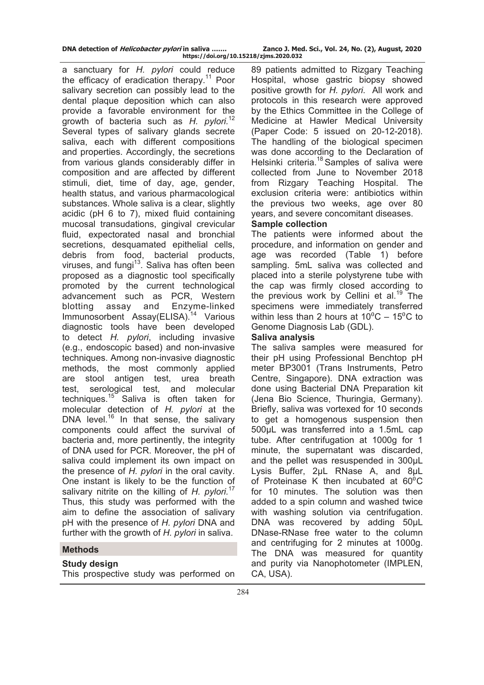| DNA detection of <i>Helicobacter pylori</i> in saliva | Zanco J. Med. Sci., Vol. 24, No. (2), August, 2020 |  |  |
|-------------------------------------------------------|----------------------------------------------------|--|--|
| https://doi.org/10.15218/zjms.2020.032                |                                                    |  |  |

a sanctuary for *H. pylori* could reduce the efficacy of eradication therapy.<sup>11</sup> Poor salivary secretion can possibly lead to the dental plaque deposition which can also provide a favorable environment for the growth of bacteria such as *H. pylori.*<sup>12</sup> Several types of salivary glands secrete saliva, each with different compositions and properties. Accordingly, the secretions from various glands considerably differ in composition and are affected by different stimuli, diet, time of day, age, gender, health status, and various pharmacological substances. Whole saliva is a clear, slightly acidic (pH 6 to 7), mixed fluid containing mucosal transudations, gingival crevicular fluid, expectorated nasal and bronchial secretions, desquamated epithelial cells, debris from food, bacterial products, viruses, and fungi $13$ . Saliva has often been proposed as a diagnostic tool specifically promoted by the current technological advancement such as PCR, Western blotting assay and Enzyme-linked Immunosorbent Assay(ELISA).<sup>14</sup> Various diagnostic tools have been developed to detect *H. pylori*, including invasive (e.g., endoscopic based) and non-invasive techniques. Among non-invasive diagnostic methods, the most commonly applied are stool antigen test, urea breath test, serological test, and molecular techniques.<sup>15</sup> Saliva is often taken for molecular detection of *H. pylori* at the DNA level.<sup>16</sup> In that sense, the salivary components could affect the survival of bacteria and, more pertinently, the integrity of DNA used for PCR. Moreover, the pH of saliva could implement its own impact on the presence of *H. pylori* in the oral cavity. One instant is likely to be the function of salivary nitrite on the killing of *H. pylori.*<sup>17</sup> Thus, this study was performed with the aim to define the association of salivary pH with the presence of *H. pylori* DNA and further with the growth of *H. pylori* in saliva.

# **Methods**

# **Study design**

This prospective study was performed on

89 patients admitted to Rizgary Teaching Hospital, whose gastric biopsy showed positive growth for *H. pylori*. All work and protocols in this research were approved by the Ethics Committee in the College of Medicine at Hawler Medical University (Paper Code: 5 issued on 20-12-2018). The handling of the biological specimen was done according to the Declaration of Helsinki criteria.<sup>18</sup> Samples of saliva were collected from June to November 2018 from Rizgary Teaching Hospital. The exclusion criteria were: antibiotics within the previous two weeks, age over 80 years, and severe concomitant diseases.

# **Sample collection**

The patients were informed about the procedure, and information on gender and age was recorded (Table 1) before sampling. 5mL saliva was collected and placed into a sterile polystyrene tube with the cap was firmly closed according to the previous work by Cellini et al.<sup>19</sup> The specimens were immediately transferred within less than 2 hours at  $10^{\circ}$ C –  $15^{\circ}$ C to Genome Diagnosis Lab (GDL).

# **Saliva analysis**

The saliva samples were measured for their pH using Professional Benchtop pH meter BP3001 (Trans Instruments, Petro Centre, Singapore). DNA extraction was done using Bacterial DNA Preparation kit (Jena Bio Science, Thuringia, Germany). Briefly, saliva was vortexed for 10 seconds to get a homogenous suspension then 500µL was transferred into a 1.5mL cap tube. After centrifugation at 1000g for 1 minute, the supernatant was discarded, and the pellet was resuspended in 300µL Lysis Buffer, 2µL RNase A, and 8µL of Proteinase K then incubated at  $60^{\circ}$ C for 10 minutes. The solution was then added to a spin column and washed twice with washing solution via centrifugation. DNA was recovered by adding 50µL DNase-RNase free water to the column and centrifuging for 2 minutes at 1000g. The DNA was measured for quantity and purity via Nanophotometer (IMPLEN, CA, USA).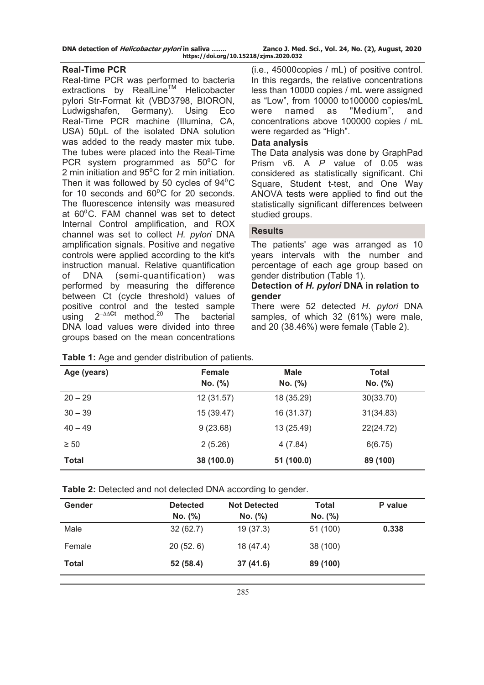| DNA detection of <i>Helicobacter pylori</i> in saliva |  | Zanco J. Med. Sci., Vol. 24, No. (2), August, 2020 |
|-------------------------------------------------------|--|----------------------------------------------------|
| https://doi.org/10.15218/zjms.2020.032                |  |                                                    |

# **Real-Time PCR**

Real-time PCR was performed to bacteria extractions by RealLine™ Helicobacter pylori Str-Format kit (VBD3798, BIORON, Ludwigshafen, Germany). Using Eco Real-Time PCR machine (Illumina, CA, USA) 50µL of the isolated DNA solution was added to the ready master mix tube. The tubes were placed into the Real-Time PCR system programmed as  $50^{\circ}$ C for 2 min initiation and  $95^{\circ}$ C for 2 min initiation. Then it was followed by 50 cycles of  $94^{\circ}$ C for 10 seconds and  $60^{\circ}$ C for 20 seconds. The fluorescence intensity was measured at 60<sup>°</sup>C. FAM channel was set to detect Internal Control amplification, and ROX channel was set to collect *H. pylori* DNA amplification signals. Positive and negative controls were applied according to the kit's instruction manual. Relative quantification of DNA (semi-quantification) was performed by measuring the difference between Ct (cycle threshold) values of positive control and the tested sample using 2–∆∆**Ct** method.20 The bacterial DNA load values were divided into three groups based on the mean concentrations

(i.e., 45000copies / mL) of positive control. In this regards, the relative concentrations less than 10000 copies / mL were assigned as "Low", from 10000 to100000 copies/mL were named as "Medium", and concentrations above 100000 copies / mL were regarded as "High".

# **Data analysis**

The Data analysis was done by GraphPad Prism v6. A *P* value of 0.05 was considered as statistically significant. Chi Square, Student t-test, and One Way ANOVA tests were applied to find out the statistically significant differences between studied groups.

# **Results**

The patients' age was arranged as 10 years intervals with the number and percentage of each age group based on gender distribution (Table 1).

# **Detection of** *H. pylori* **DNA in relation to gender**

There were 52 detected *H. pylori* DNA samples, of which 32 (61%) were male, and 20 (38.46%) were female (Table 2).

| Age (years)  | Female<br>No. (%) | <b>Male</b><br>No. (%) | <b>Total</b><br>No. (%) |
|--------------|-------------------|------------------------|-------------------------|
| $20 - 29$    | 12 (31.57)        | 18 (35.29)             | 30(33.70)               |
| $30 - 39$    | 15 (39.47)        | 16 (31.37)             | 31(34.83)               |
| $40 - 49$    | 9(23.68)          | 13 (25.49)             | 22(24.72)               |
| $\geq 50$    | 2(5.26)           | 4(7.84)                | 6(6.75)                 |
| <b>Total</b> | 38 (100.0)        | 51 (100.0)             | 89 (100)                |

**Table 1:** Age and gender distribution of patients.

**Table 2:** Detected and not detected DNA according to gender.

| Gender       | <b>Detected</b><br>No. (%) | <b>Not Detected</b><br>No. (%) | <b>Total</b><br>No. (%) | P value |
|--------------|----------------------------|--------------------------------|-------------------------|---------|
| Male         | 32(62.7)                   | 19(37.3)                       | 51 (100)                | 0.338   |
| Female       | 20(52.6)                   | 18 (47.4)                      | 38 (100)                |         |
| <b>Total</b> | 52 (58.4)                  | 37(41.6)                       | 89 (100)                |         |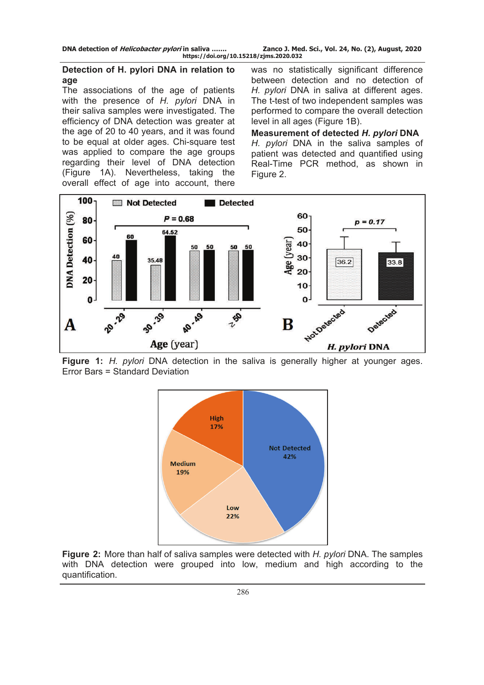# **Detection of H. pylori DNA in relation to age**

The associations of the age of patients with the presence of *H. pylori* DNA in their saliva samples were investigated. The efficiency of DNA detection was greater at the age of 20 to 40 years, and it was found to be equal at older ages. Chi-square test was applied to compare the age groups regarding their level of DNA detection (Figure 1A). Nevertheless, taking the overall effect of age into account, there

was no statistically significant difference between detection and no detection of *H. pylori* DNA in saliva at different ages. The t-test of two independent samples was performed to compare the overall detection level in all ages (Figure 1B).

**Measurement of detected** *H. pylori* **DNA**  *H. pylori* DNA in the saliva samples of patient was detected and quantified using Real-Time PCR method, as shown in Figure 2.



**Figure 1:** *H. pylori* DNA detection in the saliva is generally higher at younger ages. Error Bars = Standard Deviation



**Figure 2:** More than half of saliva samples were detected with *H. pylori* DNA. The samples with DNA detection were grouped into low, medium and high according to the quantification.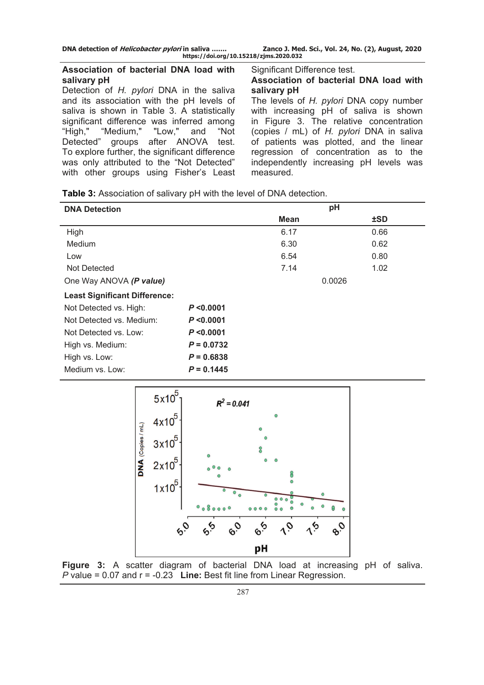# **Association of bacterial DNA load with salivary pH**

Detection of *H. pylori* DNA in the saliva and its association with the pH levels of saliva is shown in Table 3. A statistically significant difference was inferred among "High," "Medium," "Low," and "Not Detected" groups after ANOVA test. To explore further, the significant difference was only attributed to the "Not Detected" with other groups using Fisher's Least Significant Difference test.

### **Association of bacterial DNA load with salivary pH**

The levels of *H. pylori* DNA copy number with increasing pH of saliva is shown in Figure 3. The relative concentration (copies / mL) of *H. pylori* DNA in saliva of patients was plotted, and the linear regression of concentration as to the independently increasing pH levels was measured.

| <b>DNA Detection</b>                 |              |             | pH         |
|--------------------------------------|--------------|-------------|------------|
|                                      |              | <b>Mean</b> | <b>±SD</b> |
| High                                 |              | 6.17        | 0.66       |
| <b>Medium</b>                        |              | 6.30        | 0.62       |
| Low                                  |              | 6.54        | 0.80       |
| Not Detected                         |              | 7.14        | 1.02       |
| One Way ANOVA (P value)              |              |             | 0.0026     |
| <b>Least Significant Difference:</b> |              |             |            |
| Not Detected vs. High:               | P < 0.0001   |             |            |
| Not Detected vs. Medium:             | P < 0.0001   |             |            |
| Not Detected vs. Low:                | P < 0.0001   |             |            |
| High vs. Medium:                     | $P = 0.0732$ |             |            |
| High vs. Low:                        | $P = 0.6838$ |             |            |
| Medium vs. Low:                      | $P = 0.1445$ |             |            |



**Figure 3:** A scatter diagram of bacterial DNA load at increasing pH of saliva. *P* value = 0.07 and r = -0.23 **Line:** Best fit line from Linear Regression.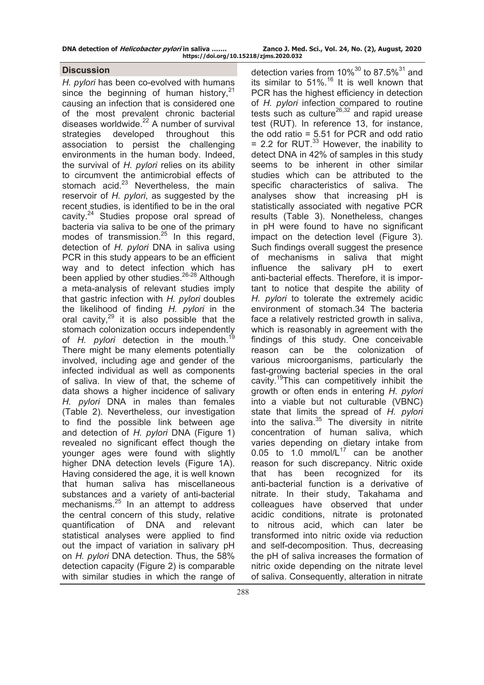| DNA detection of <i>Helicobacter pylori</i> in saliva | Zanco J. Med. Sci., Vol. 24, No. (2), August, 2020 |  |
|-------------------------------------------------------|----------------------------------------------------|--|
| https://doi.org/10.15218/zjms.2020.032                |                                                    |  |

# **Discussion**

*H. pylori* has been co-evolved with humans since the beginning of human history. $21$ causing an infection that is considered one of the most prevalent chronic bacterial diseases worldwide.<sup>22</sup> A number of survival strategies developed throughout this association to persist the challenging environments in the human body. Indeed, the survival of *H. pylori* relies on its ability to circumvent the antimicrobial effects of stomach acid. $23$  Nevertheless, the main reservoir of *H. pylori*, as suggested by the recent studies, is identified to be in the oral cavity.<sup>24</sup> Studies propose oral spread of bacteria via saliva to be one of the primary modes of transmission.<sup>25</sup> In this regard, detection of *H. pylori* DNA in saliva using PCR in this study appears to be an efficient way and to detect infection which has been applied by other studies.<sup>26-28</sup> Although a meta-analysis of relevant studies imply that gastric infection with *H. pylori* doubles the likelihood of finding *H. pylori* in the oral cavity, $29$  it is also possible that the stomach colonization occurs independently of *H. pylori* detection in the mouth.19 There might be many elements potentially involved, including age and gender of the infected individual as well as components of saliva. In view of that, the scheme of data shows a higher incidence of salivary *H. pylori* DNA in males than females (Table 2). Nevertheless, our investigation to find the possible link between age and detection of *H. pylori* DNA (Figure 1) revealed no significant effect though the younger ages were found with slightly higher DNA detection levels (Figure 1A). Having considered the age, it is well known that human saliva has miscellaneous substances and a variety of anti-bacterial mechanisms.<sup>25</sup> In an attempt to address the central concern of this study, relative quantification of DNA and relevant statistical analyses were applied to find out the impact of variation in salivary pH on *H. pylori* DNA detection. Thus, the 58% detection capacity (Figure 2) is comparable with similar studies in which the range of detection varies from  $10\%^{30}$  to 87.5%<sup>31</sup> and its similar to  $51\%$ .<sup>16</sup> It is well known that PCR has the highest efficiency in detection of *H. pylori* infection compared to routine tests such as culture<sup>26,32</sup> and rapid urease test (RUT). In reference 13, for instance, the odd ratio = 5.51 for PCR and odd ratio  $= 2.2$  for RUT.<sup>33</sup> However, the inability to detect DNA in 42% of samples in this study seems to be inherent in other similar studies which can be attributed to the specific characteristics of saliva. The analyses show that increasing pH is statistically associated with negative PCR results (Table 3). Nonetheless, changes in pH were found to have no significant impact on the detection level (Figure 3). Such findings overall suggest the presence of mechanisms in saliva that might influence the salivary pH to exert anti-bacterial effects. Therefore, it is important to notice that despite the ability of *H. pylori* to tolerate the extremely acidic environment of stomach.34 The bacteria face a relatively restricted growth in saliva, which is reasonably in agreement with the findings of this study. One conceivable reason can be the colonization of various microorganisms, particularly the fast-growing bacterial species in the oral cavity.19This can competitively inhibit the growth or often ends in entering *H. pylori* into a viable but not culturable (VBNC) state that limits the spread of *H. pylori*  into the saliva. $35$  The diversity in nitrite concentration of human saliva, which varies depending on dietary intake from  $0.05$  to 1.0 mmol/L<sup>17</sup> can be another reason for such discrepancy. Nitric oxide that has been recognized for its anti-bacterial function is a derivative of nitrate. In their study, Takahama and colleagues have observed that under acidic conditions, nitrate is protonated to nitrous acid, which can later be transformed into nitric oxide via reduction and self-decomposition. Thus, decreasing the pH of saliva increases the formation of nitric oxide depending on the nitrate level of saliva. Consequently, alteration in nitrate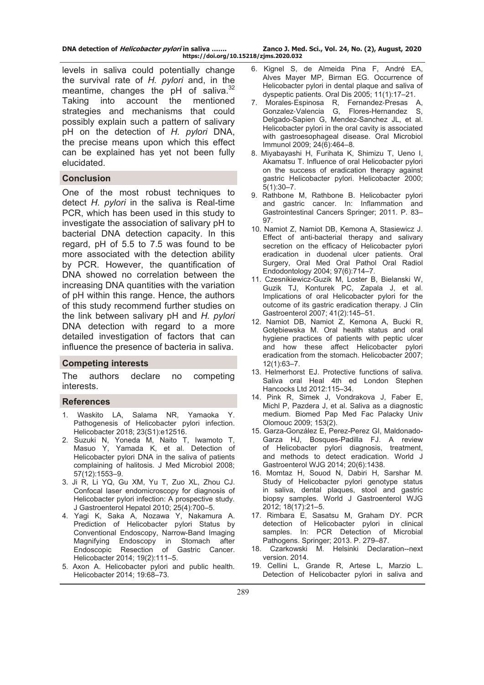| DNA detection of <i>Helicobacter pylori</i> in saliva | Zanco J. Med. Sci., Vol. 24, No. (2), August, 2020 |  |
|-------------------------------------------------------|----------------------------------------------------|--|
| https://doi.org/10.15218/zjms.2020.032                |                                                    |  |

levels in saliva could potentially change the survival rate of *H. pylori* and, in the meantime, changes the pH of saliva.<sup>32</sup> Taking into account the mentioned strategies and mechanisms that could possibly explain such a pattern of salivary pH on the detection of *H. pylori* DNA, the precise means upon which this effect can be explained has yet not been fully elucidated.

# **Conclusion**

One of the most robust techniques to detect *H. pylori* in the saliva is Real-time PCR, which has been used in this study to investigate the association of salivary pH to bacterial DNA detection capacity. In this regard, pH of 5.5 to 7.5 was found to be more associated with the detection ability by PCR. However, the quantification of DNA showed no correlation between the increasing DNA quantities with the variation of pH within this range. Hence, the authors of this study recommend further studies on the link between salivary pH and *H. pylori* DNA detection with regard to a more detailed investigation of factors that can influence the presence of bacteria in saliva.

#### **Competing interests**

The authors declare no competing interests.

#### **References**

- 1. Waskito LA, Salama NR, Yamaoka Y. Pathogenesis of Helicobacter pylori infection. Helicobacter 2018; 23(S1):e12516.
- 2. Suzuki N, Yoneda M, Naito T, Iwamoto T, Masuo Y, Yamada K, et al. Detection of Helicobacter pylori DNA in the saliva of patients complaining of halitosis. J Med Microbiol 2008; 57(12):1553–9.
- 3. Ji R, Li YQ, Gu XM, Yu T, Zuo XL, Zhou CJ. Confocal laser endomicroscopy for diagnosis of Helicobacter pylori infection: A prospective study. J Gastroenterol Hepatol 2010; 25(4):700–5.
- 4. Yagi K, Saka A, Nozawa Y, Nakamura A. Prediction of Helicobacter pylori Status by Conventional Endoscopy, Narrow-Band Imaging Magnifying Endoscopy in Stomach after Endoscopic Resection of Gastric Cancer. Helicobacter 2014; 19(2):111–5.
- 5. Axon A. Helicobacter pylori and public health. Helicobacter 2014; 19:68–73.
- 6. Kignel S, de Almeida Pina F, André EA, Alves Mayer MP, Birman EG. Occurrence of Helicobacter pylori in dental plaque and saliva of dyspeptic patients. Oral Dis 2005; 11(1):17–21.
- 7. Morales‐Espinosa R, Fernandez‐Presas A, Gonzalez‐Valencia G, Flores-Hernandez S, Delgado-Sapien G, Mendez-Sanchez JL, et al. Helicobacter pylori in the oral cavity is associated with gastroesophageal disease. Oral Microbiol Immunol 2009; 24(6):464–8.
- 8. Miyabayashi H, Furihata K, Shimizu T, Ueno I, Akamatsu T. Influence of oral Helicobacter pylori on the success of eradication therapy against gastric Helicobacter pylori. Helicobacter 2000; 5(1):30–7.
- 9. Rathbone M, Rathbone B. Helicobacter pylori and gastric cancer. In: Inflammation and Gastrointestinal Cancers Springer; 2011. P. 83– 97.
- 10. Namiot Z, Namiot DB, Kemona A, Stasiewicz J. Effect of anti-bacterial therapy and salivary secretion on the efficacy of Helicobacter pylori eradication in duodenal ulcer patients. Oral Surgery, Oral Med Oral Pathol Oral Radiol Endodontology 2004; 97(6):714–7.
- 11. Czesnikiewicz-Guzik M, Loster B, Bielanski W, Guzik TJ, Konturek PC, Zapala J, et al. Implications of oral Helicobacter pylori for the outcome of its gastric eradication therapy. J Clin Gastroenterol 2007; 41(2):145–51.
- 12. Namiot DB, Namiot Z, Kemona A, Bucki R, Gotębiewska M. Oral health status and oral hygiene practices of patients with peptic ulcer and how these affect Helicobacter pylori eradication from the stomach. Helicobacter 2007; 12(1):63–7.
- 13. Helmerhorst EJ. Protective functions of saliva. Saliva oral Heal 4th ed London Stephen Hancocks Ltd 2012:115–34.
- 14. Pink R, Simek J, Vondrakova J, Faber E, Michl P, Pazdera J, et al. Saliva as a diagnostic medium. Biomed Pap Med Fac Palacky Univ Olomouc 2009; 153(2).
- 15. Garza-González E, Perez-Perez GI, Maldonado-Garza HJ, Bosques-Padilla FJ. A review of Helicobacter pylori diagnosis, treatment, and methods to detect eradication. World J Gastroenterol WJG 2014; 20(6):1438.
- 16. Momtaz H, Souod N, Dabiri H, Sarshar M. Study of Helicobacter pylori genotype status in saliva, dental plaques, stool and gastric biopsy samples. World J Gastroenterol WJG 2012; 18(17):21–5.
- 17. Rimbara E, Sasatsu M, Graham DY. PCR detection of Helicobacter pylori in clinical samples. In: PCR Detection of Microbial Pathogens. Springer; 2013. P. 279–87.
- 18. Czarkowski M. Helsinki Declaration--next version. 2014.
- 19. Cellini L, Grande R, Artese L, Marzio L. Detection of Helicobacter pylori in saliva and